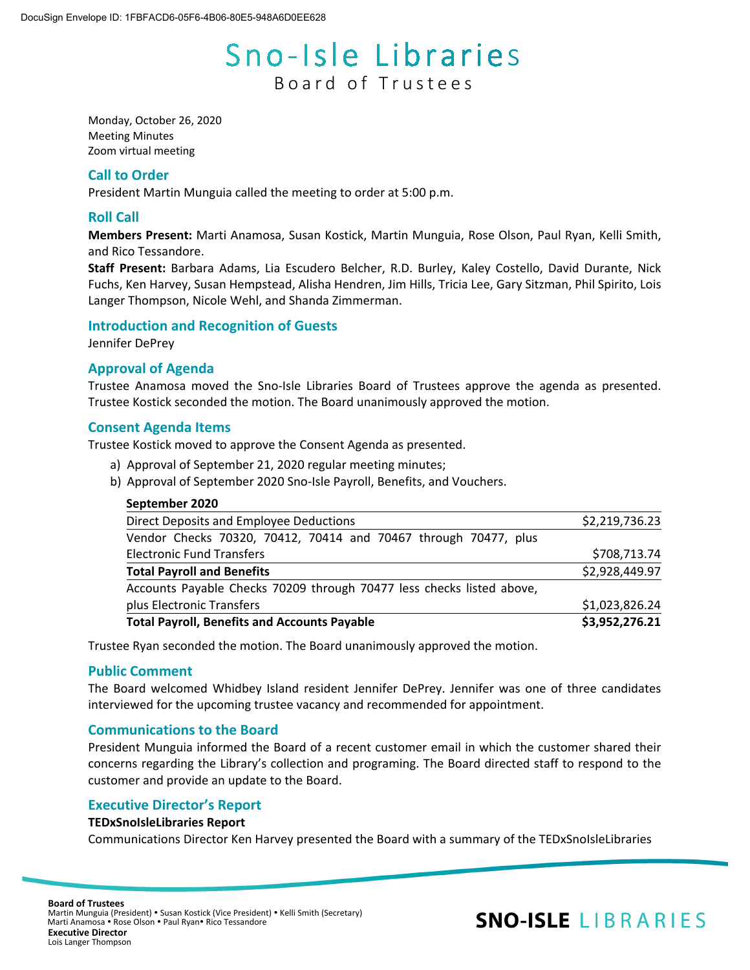# Sno-Isle Libraries Board of Trustees

Monday, October 26, 2020 Meeting Minutes Zoom virtual meeting

## **Call to Order**

President Martin Munguia called the meeting to order at 5:00 p.m.

## **Roll Call**

**Members Present:** Marti Anamosa, Susan Kostick, Martin Munguia, Rose Olson, Paul Ryan, Kelli Smith, and Rico Tessandore.

**Staff Present:** Barbara Adams, Lia Escudero Belcher, R.D. Burley, Kaley Costello, David Durante, Nick Fuchs, Ken Harvey, Susan Hempstead, Alisha Hendren, Jim Hills, Tricia Lee, Gary Sitzman, Phil Spirito, Lois Langer Thompson, Nicole Wehl, and Shanda Zimmerman.

## **Introduction and Recognition of Guests**

Jennifer DePrey

## **Approval of Agenda**

Trustee Anamosa moved the Sno-Isle Libraries Board of Trustees approve the agenda as presented. Trustee Kostick seconded the motion. The Board unanimously approved the motion.

## **Consent Agenda Items**

Trustee Kostick moved to approve the Consent Agenda as presented.

- a) Approval of September 21, 2020 regular meeting minutes;
- b) Approval of September 2020 Sno-Isle Payroll, Benefits, and Vouchers.

| <b>Total Payroll, Benefits and Accounts Payable</b>                   | \$3,952,276.21 |
|-----------------------------------------------------------------------|----------------|
| plus Electronic Transfers                                             | \$1,023,826.24 |
| Accounts Payable Checks 70209 through 70477 less checks listed above, |                |
| <b>Total Payroll and Benefits</b>                                     | \$2,928,449.97 |
| <b>Electronic Fund Transfers</b>                                      | \$708,713.74   |
| Vendor Checks 70320, 70412, 70414 and 70467 through 70477, plus       |                |
| Direct Deposits and Employee Deductions                               | \$2,219,736.23 |

Trustee Ryan seconded the motion. The Board unanimously approved the motion.

## **Public Comment**

The Board welcomed Whidbey Island resident Jennifer DePrey. Jennifer was one of three candidates interviewed for the upcoming trustee vacancy and recommended for appointment.

## **Communications to the Board**

President Munguia informed the Board of a recent customer email in which the customer shared their concerns regarding the Library's collection and programing. The Board directed staff to respond to the customer and provide an update to the Board.

## **Executive Director's Report**

## **TEDxSnoIsleLibraries Report**

Communications Director Ken Harvey presented the Board with a summary of the TEDxSnoIsleLibraries

## **SNO-ISLE LIBRARIES**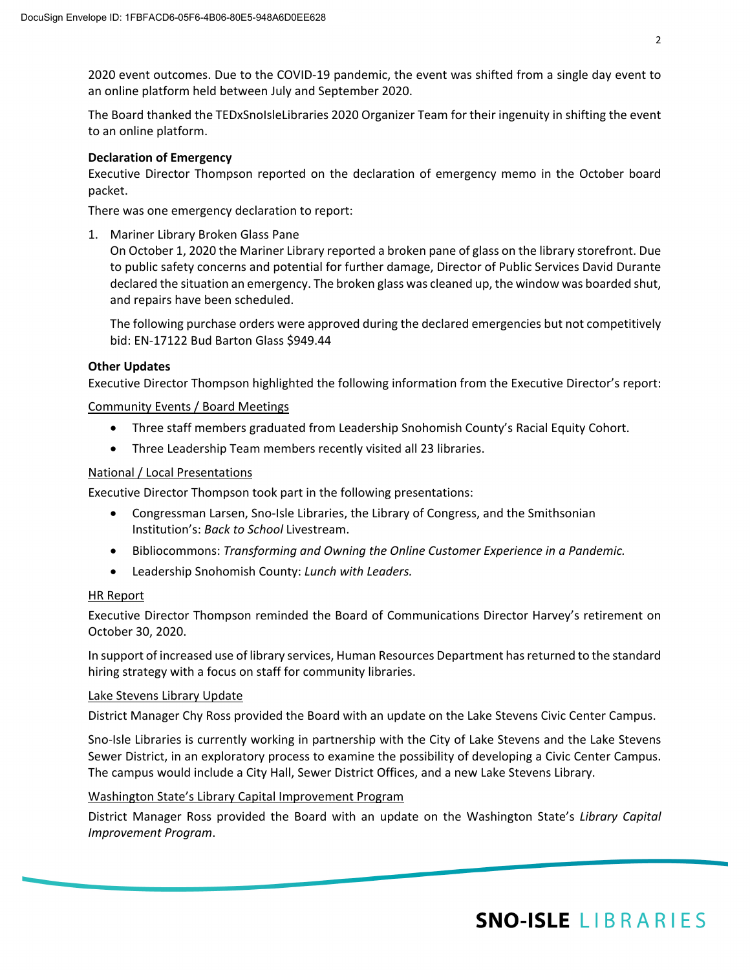2020 event outcomes. Due to the COVID-19 pandemic, the event was shifted from a single day event to an online platform held between July and September 2020.

The Board thanked the TEDxSnoIsleLibraries 2020 Organizer Team for their ingenuity in shifting the event to an online platform.

## **Declaration of Emergency**

Executive Director Thompson reported on the declaration of emergency memo in the October board packet.

There was one emergency declaration to report:

1. Mariner Library Broken Glass Pane

On October 1, 2020 the Mariner Library reported a broken pane of glass on the library storefront. Due to public safety concerns and potential for further damage, Director of Public Services David Durante declared the situation an emergency. The broken glass was cleaned up, the window was boarded shut, and repairs have been scheduled.

The following purchase orders were approved during the declared emergencies but not competitively bid: EN-17122 Bud Barton Glass \$949.44

## **Other Updates**

Executive Director Thompson highlighted the following information from the Executive Director's report:

Community Events / Board Meetings

- Three staff members graduated from Leadership Snohomish County's Racial Equity Cohort.
- Three Leadership Team members recently visited all 23 libraries.

## National / Local Presentations

Executive Director Thompson took part in the following presentations:

- Congressman Larsen, Sno-Isle Libraries, the Library of Congress, and the Smithsonian Institution's: *Back to School* Livestream.
- Bibliocommons: *Transforming and Owning the Online Customer Experience in a Pandemic.*
- Leadership Snohomish County: *Lunch with Leaders.*

## HR Report

Executive Director Thompson reminded the Board of Communications Director Harvey's retirement on October 30, 2020.

In support of increased use of library services, Human Resources Department has returned to the standard hiring strategy with a focus on staff for community libraries.

## Lake Stevens Library Update

District Manager Chy Ross provided the Board with an update on the Lake Stevens Civic Center Campus.

Sno-Isle Libraries is currently working in partnership with the City of Lake Stevens and the Lake Stevens Sewer District, in an exploratory process to examine the possibility of developing a Civic Center Campus. The campus would include a City Hall, Sewer District Offices, and a new Lake Stevens Library.

## Washington State's Library Capital Improvement Program

District Manager Ross provided the Board with an update on the Washington State's *Library Capital Improvement Program*.

## **SNO-ISLE LIBRARIES**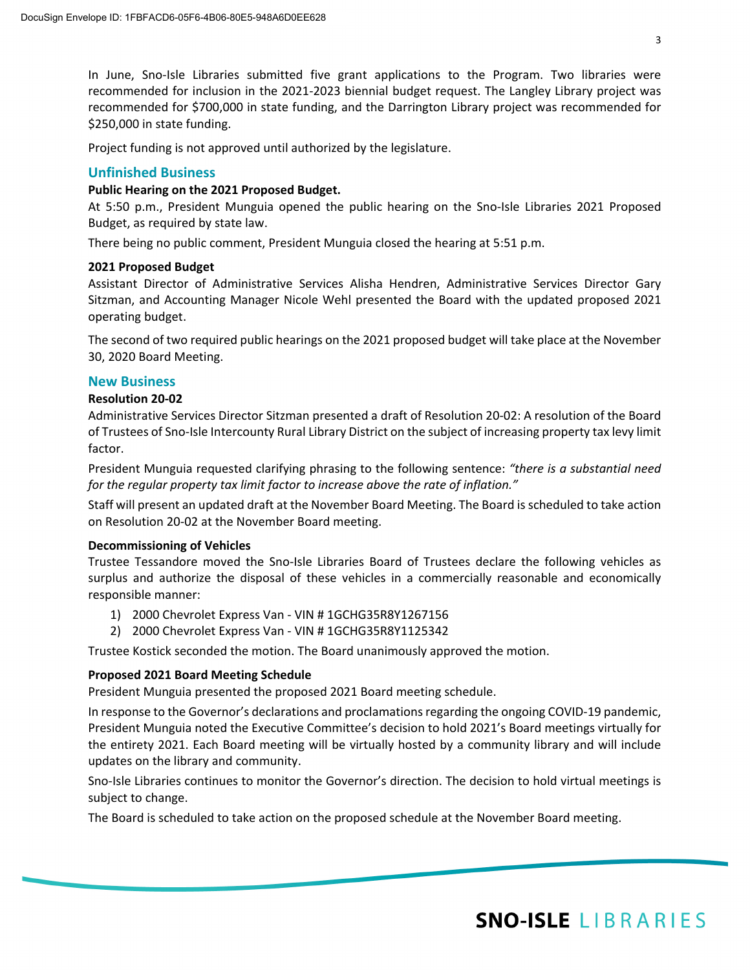In June, Sno-Isle Libraries submitted five grant applications to the Program. Two libraries were recommended for inclusion in the 2021-2023 biennial budget request. The Langley Library project was recommended for \$700,000 in state funding, and the Darrington Library project was recommended for \$250,000 in state funding.

Project funding is not approved until authorized by the legislature.

## **Unfinished Business**

## **Public Hearing on the 2021 Proposed Budget.**

At 5:50 p.m., President Munguia opened the public hearing on the Sno-Isle Libraries 2021 Proposed Budget, as required by state law.

There being no public comment, President Munguia closed the hearing at 5:51 p.m.

## **2021 Proposed Budget**

Assistant Director of Administrative Services Alisha Hendren, Administrative Services Director Gary Sitzman, and Accounting Manager Nicole Wehl presented the Board with the updated proposed 2021 operating budget.

The second of two required public hearings on the 2021 proposed budget will take place at the November 30, 2020 Board Meeting.

## **New Business**

## **Resolution 20-02**

Administrative Services Director Sitzman presented a draft of Resolution 20-02: A resolution of the Board of Trustees of Sno-Isle Intercounty Rural Library District on the subject of increasing property tax levy limit factor.

President Munguia requested clarifying phrasing to the following sentence: *"there is a substantial need for the regular property tax limit factor to increase above the rate of inflation."*

Staff will present an updated draft at the November Board Meeting. The Board is scheduled to take action on Resolution 20-02 at the November Board meeting.

## **Decommissioning of Vehicles**

Trustee Tessandore moved the Sno-Isle Libraries Board of Trustees declare the following vehicles as surplus and authorize the disposal of these vehicles in a commercially reasonable and economically responsible manner:

- 1) 2000 Chevrolet Express Van VIN # 1GCHG35R8Y1267156
- 2) 2000 Chevrolet Express Van VIN # 1GCHG35R8Y1125342

Trustee Kostick seconded the motion. The Board unanimously approved the motion.

## **Proposed 2021 Board Meeting Schedule**

President Munguia presented the proposed 2021 Board meeting schedule.

In response to the Governor's declarations and proclamations regarding the ongoing COVID-19 pandemic, President Munguia noted the Executive Committee's decision to hold 2021's Board meetings virtually for the entirety 2021. Each Board meeting will be virtually hosted by a community library and will include updates on the library and community.

Sno-Isle Libraries continues to monitor the Governor's direction. The decision to hold virtual meetings is subject to change.

The Board is scheduled to take action on the proposed schedule at the November Board meeting.